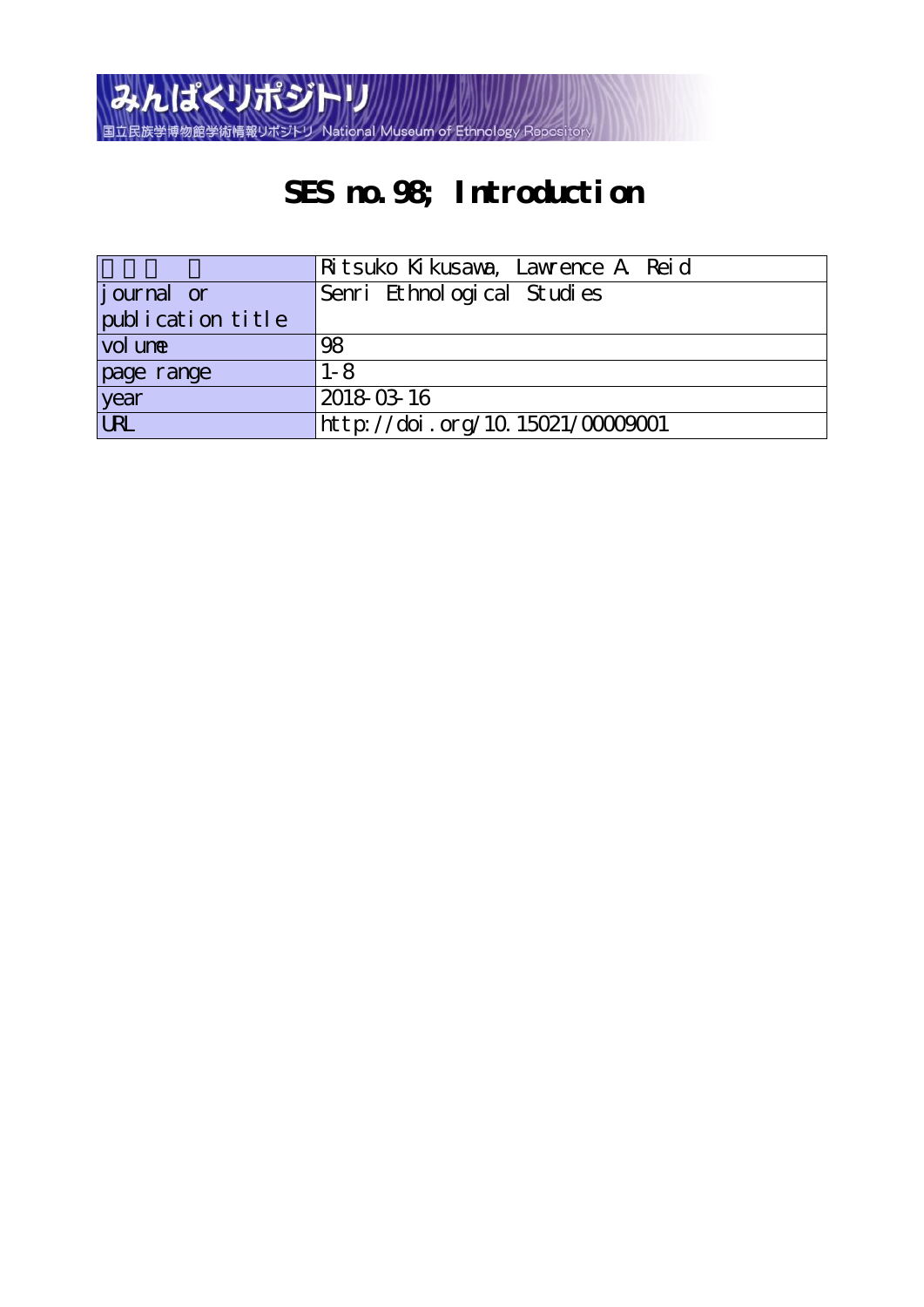

# **SES no.98; Introduction**

|                    | Ritsuko Kikusawa, Lawrence A Reid   |  |  |  |  |  |  |  |
|--------------------|-------------------------------------|--|--|--|--|--|--|--|
| <i>j</i> ournal or | Senri Ethnological Studies          |  |  |  |  |  |  |  |
| publication title  |                                     |  |  |  |  |  |  |  |
| vol une            | 98                                  |  |  |  |  |  |  |  |
| page range         | $1 - 8$                             |  |  |  |  |  |  |  |
| year               | 2018-03-16                          |  |  |  |  |  |  |  |
| <b>URL</b>         | $http$ ://doi.org/10.15021/00009001 |  |  |  |  |  |  |  |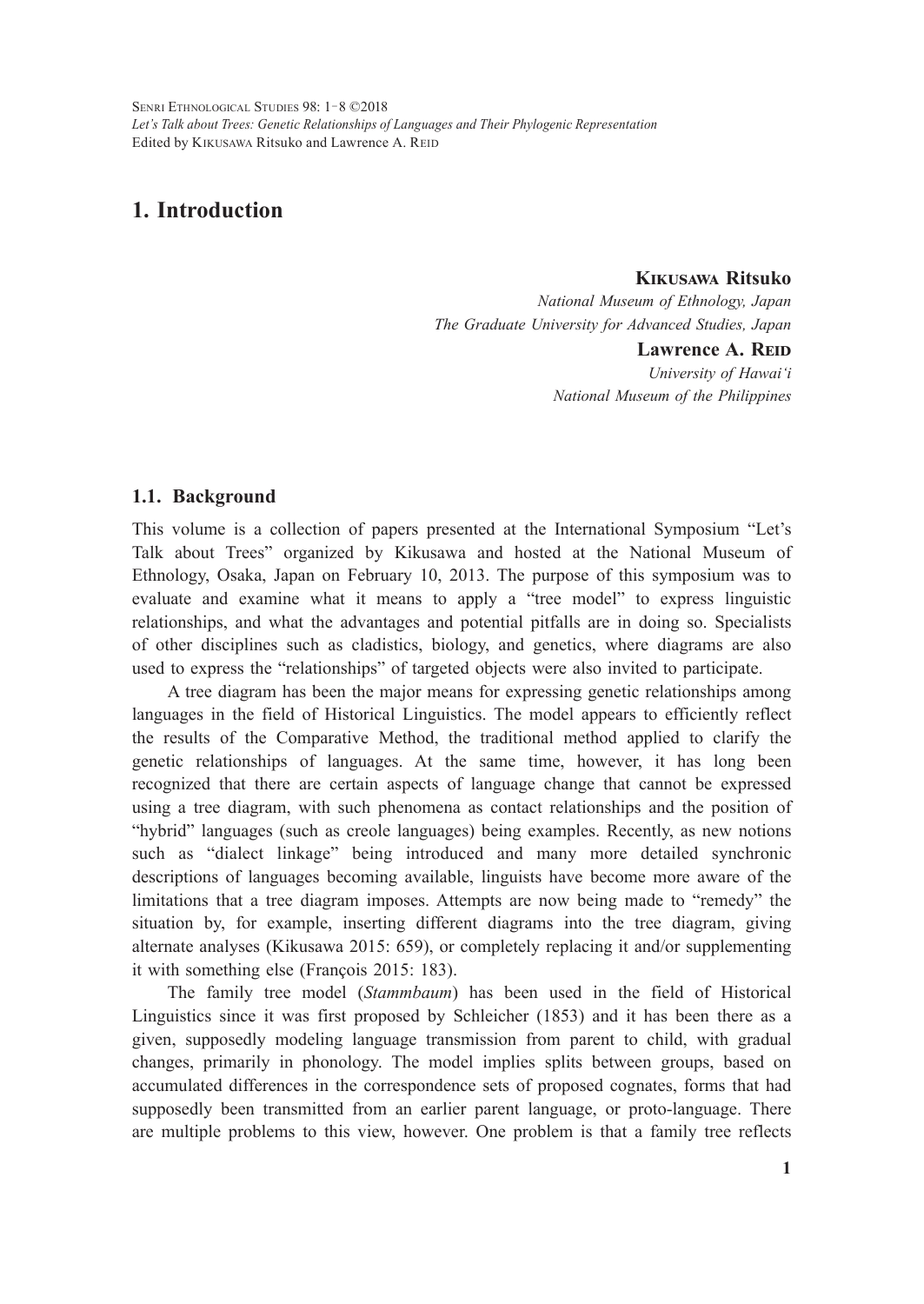SENRI ETHNOLOGICAL STUDIES 98: 1-8 ©2018 *Let's Talk about Trees: Genetic Relationships of Languages and Their Phylogenic Representation* Edited by KIKUSAWA Ritsuko and Lawrence A. REID

# **1. Introduction**

## **Kikusawa Ritsuko**

*National Museum of Ethnology, Japan The Graduate University for Advanced Studies, Japan*

# Lawrence A. R**EID**

*University of Hawai'i National Museum of the Philippines*

#### **1.1. Background**

This volume is a collection of papers presented at the International Symposium "Let's Talk about Trees" organized by Kikusawa and hosted at the National Museum of Ethnology, Osaka, Japan on February 10, 2013. The purpose of this symposium was to evaluate and examine what it means to apply a "tree model" to express linguistic relationships, and what the advantages and potential pitfalls are in doing so. Specialists of other disciplines such as cladistics, biology, and genetics, where diagrams are also used to express the "relationships" of targeted objects were also invited to participate.

A tree diagram has been the major means for expressing genetic relationships among languages in the field of Historical Linguistics. The model appears to efficiently reflect the results of the Comparative Method, the traditional method applied to clarify the genetic relationships of languages. At the same time, however, it has long been recognized that there are certain aspects of language change that cannot be expressed using a tree diagram, with such phenomena as contact relationships and the position of "hybrid" languages (such as creole languages) being examples. Recently, as new notions such as "dialect linkage" being introduced and many more detailed synchronic descriptions of languages becoming available, linguists have become more aware of the limitations that a tree diagram imposes. Attempts are now being made to "remedy" the situation by, for example, inserting different diagrams into the tree diagram, giving alternate analyses (Kikusawa 2015: 659), or completely replacing it and/or supplementing it with something else (François 2015: 183).

The family tree model (*Stammbaum*) has been used in the field of Historical Linguistics since it was first proposed by Schleicher (1853) and it has been there as a given, supposedly modeling language transmission from parent to child, with gradual changes, primarily in phonology. The model implies splits between groups, based on accumulated differences in the correspondence sets of proposed cognates, forms that had supposedly been transmitted from an earlier parent language, or proto-language. There are multiple problems to this view, however. One problem is that a family tree reflects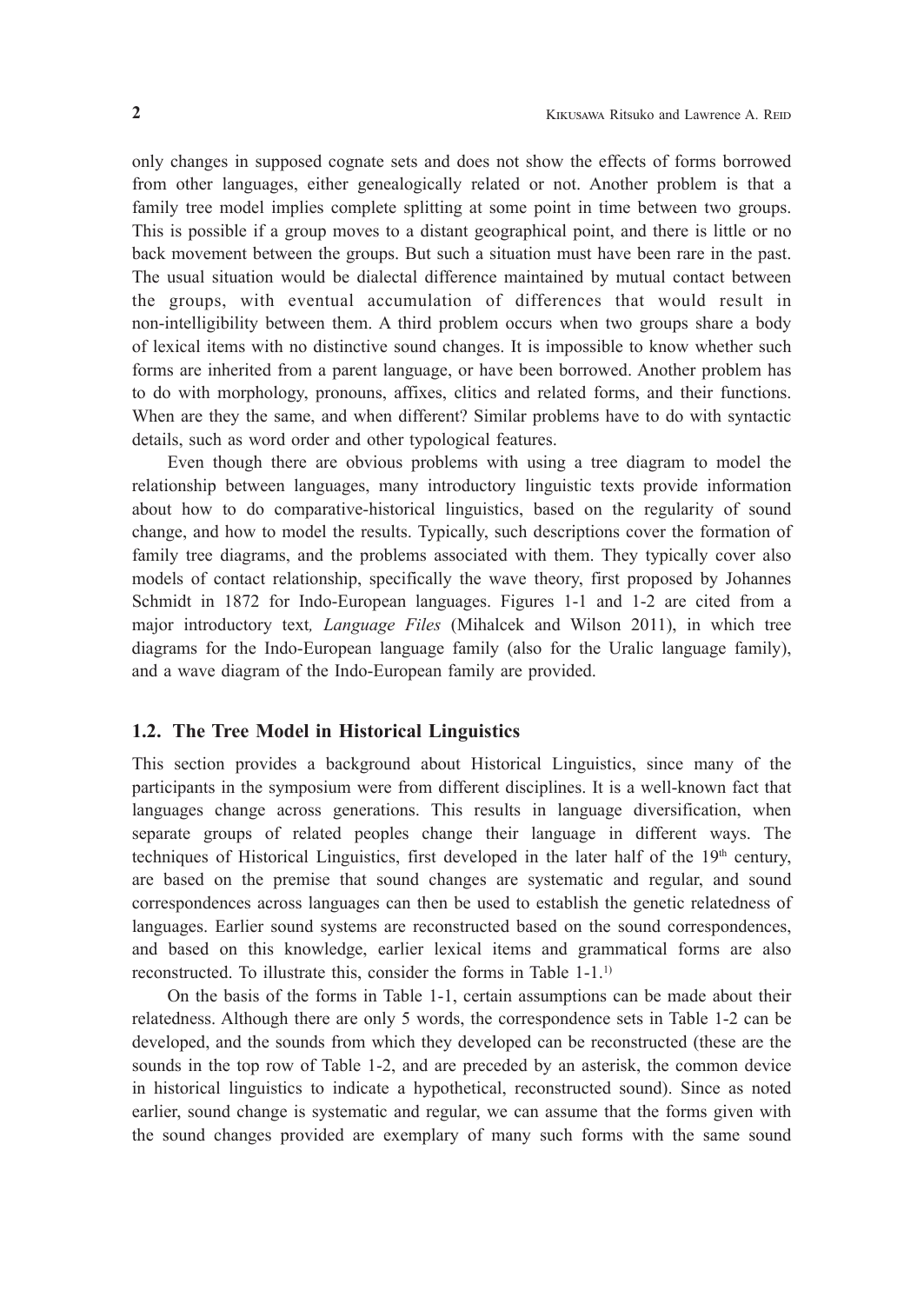only changes in supposed cognate sets and does not show the effects of forms borrowed from other languages, either genealogically related or not. Another problem is that a family tree model implies complete splitting at some point in time between two groups. This is possible if a group moves to a distant geographical point, and there is little or no back movement between the groups. But such a situation must have been rare in the past. The usual situation would be dialectal difference maintained by mutual contact between the groups, with eventual accumulation of differences that would result in non-intelligibility between them. A third problem occurs when two groups share a body of lexical items with no distinctive sound changes. It is impossible to know whether such forms are inherited from a parent language, or have been borrowed. Another problem has to do with morphology, pronouns, affixes, clitics and related forms, and their functions. When are they the same, and when different? Similar problems have to do with syntactic details, such as word order and other typological features.

Even though there are obvious problems with using a tree diagram to model the relationship between languages, many introductory linguistic texts provide information about how to do comparative-historical linguistics, based on the regularity of sound change, and how to model the results. Typically, such descriptions cover the formation of family tree diagrams, and the problems associated with them. They typically cover also models of contact relationship, specifically the wave theory, first proposed by Johannes Schmidt in 1872 for Indo-European languages. Figures 1-1 and 1-2 are cited from a major introductory text*, Language Files* (Mihalcek and Wilson 2011), in which tree diagrams for the Indo-European language family (also for the Uralic language family), and a wave diagram of the Indo-European family are provided.

#### **1.2. The Tree Model in Historical Linguistics**

This section provides a background about Historical Linguistics, since many of the participants in the symposium were from different disciplines. It is a well-known fact that languages change across generations. This results in language diversification, when separate groups of related peoples change their language in different ways. The techniques of Historical Linguistics, first developed in the later half of the  $19<sup>th</sup>$  century, are based on the premise that sound changes are systematic and regular, and sound correspondences across languages can then be used to establish the genetic relatedness of languages. Earlier sound systems are reconstructed based on the sound correspondences, and based on this knowledge, earlier lexical items and grammatical forms are also reconstructed. To illustrate this, consider the forms in Table 1-1.1)

On the basis of the forms in Table 1-1, certain assumptions can be made about their relatedness. Although there are only 5 words, the correspondence sets in Table 1-2 can be developed, and the sounds from which they developed can be reconstructed (these are the sounds in the top row of Table 1-2, and are preceded by an asterisk, the common device in historical linguistics to indicate a hypothetical, reconstructed sound). Since as noted earlier, sound change is systematic and regular, we can assume that the forms given with the sound changes provided are exemplary of many such forms with the same sound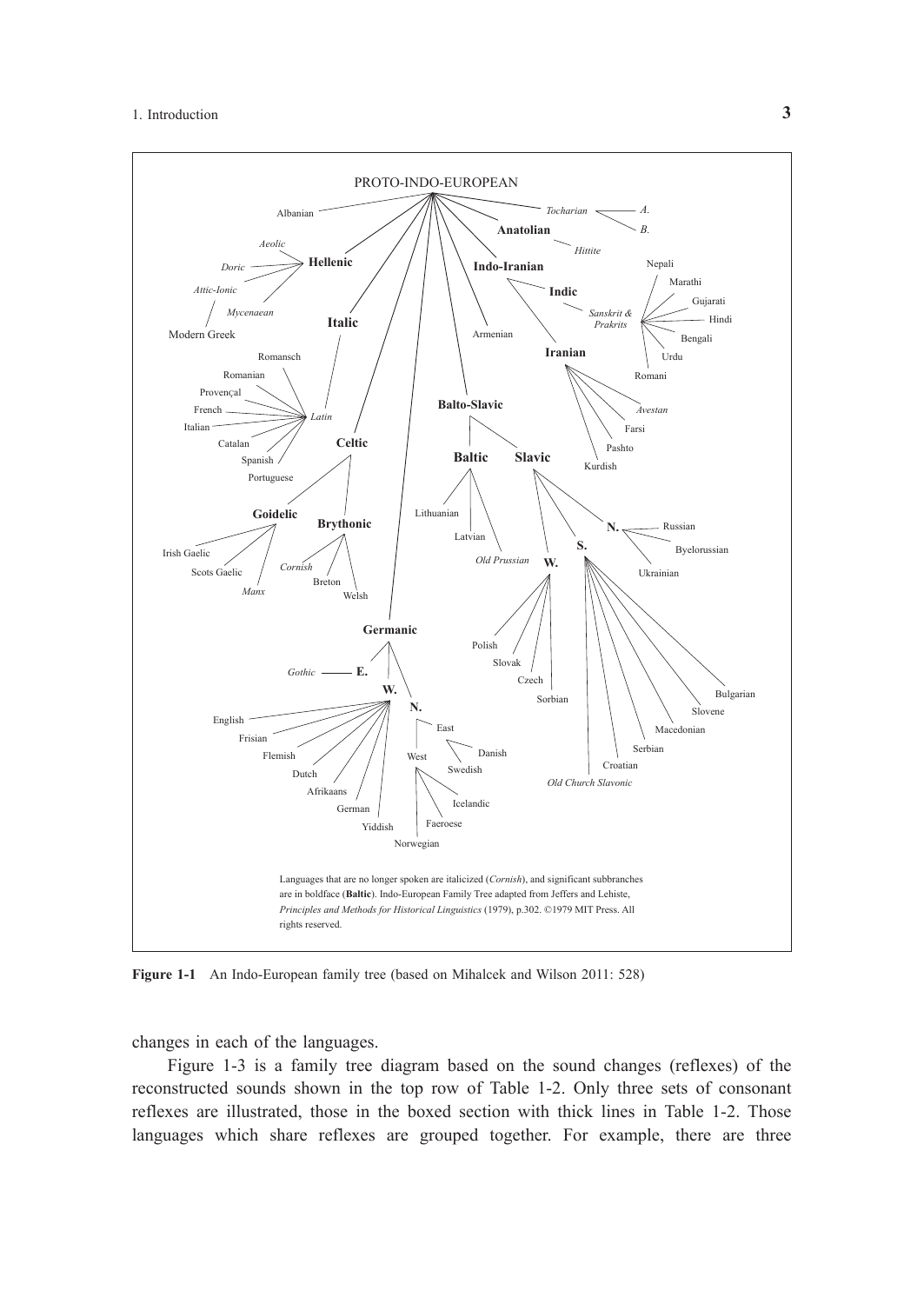

**Figure 1-1** An Indo-European family tree (based on Mihalcek and Wilson 2011: 528)

changes in each of the languages.

Figure 1-3 is a family tree diagram based on the sound changes (reflexes) of the reconstructed sounds shown in the top row of Table 1-2. Only three sets of consonant reflexes are illustrated, those in the boxed section with thick lines in Table 1-2. Those languages which share reflexes are grouped together. For example, there are three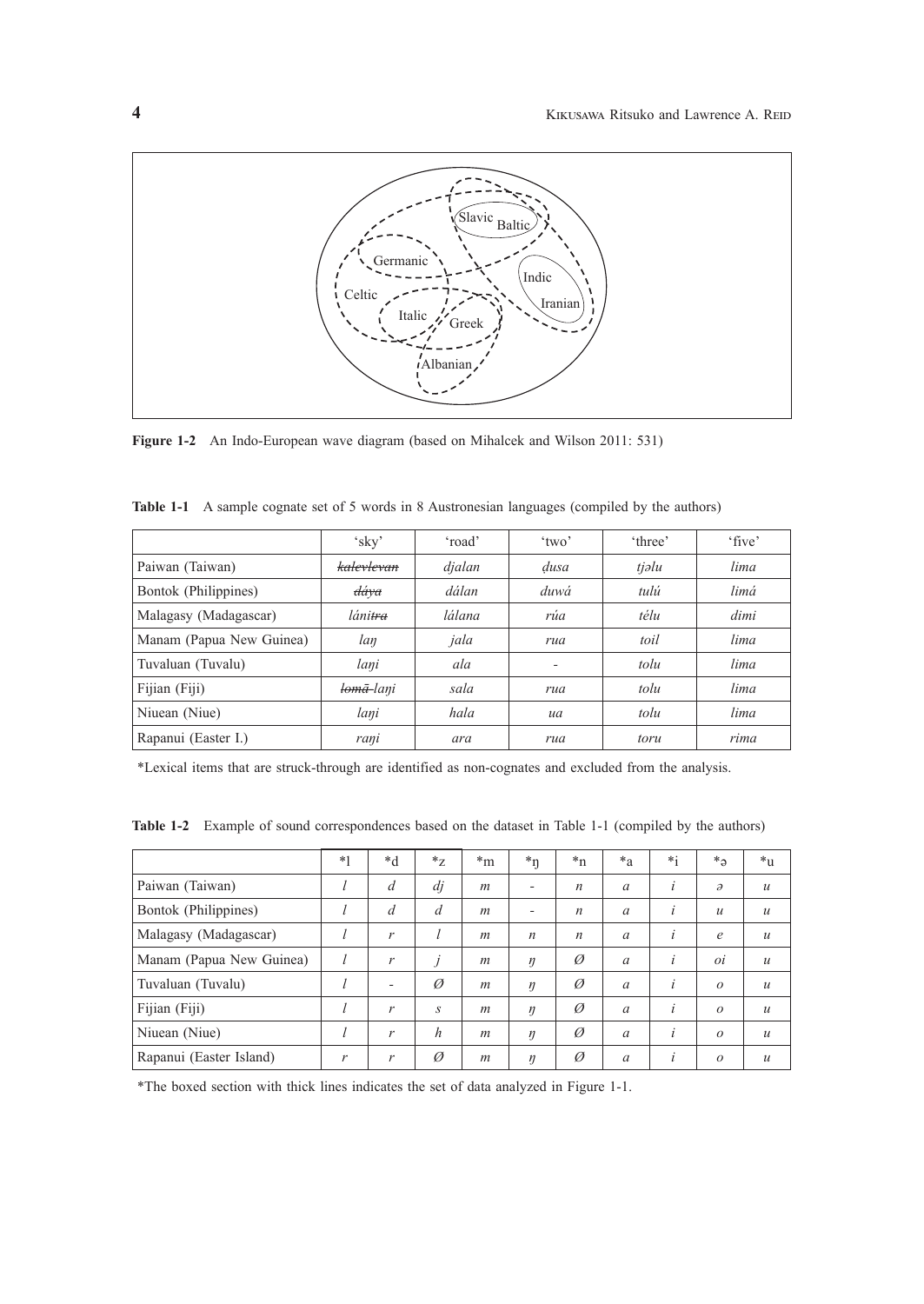

**Figure 1-2** An Indo-European wave diagram (based on Mihalcek and Wilson 2011: 531)

|                          | 'sky'                 | 'road'                | $'$ two' | 'three' | 'five' |  |
|--------------------------|-----------------------|-----------------------|----------|---------|--------|--|
| Paiwan (Taiwan)          | kalevlevan            | djalan                | dusa     | tjəlu   | lima   |  |
| Bontok (Philippines)     | dáva                  | dálan                 | duwá     | tulú    | limá   |  |
| Malagasy (Madagascar)    | láni <del>tra</del>   | rúa<br>lálana<br>télu |          |         | dimi   |  |
| Manam (Papua New Guinea) | lan                   | jala                  | rua      | toil    | lima   |  |
| Tuvaluan (Tuvalu)        | lani                  | ala                   |          | tolu    | lima   |  |
| Fijian (Fiji)            | <del>lomā-</del> lani | sala<br>rua           |          | tolu    | lima   |  |
| Niuean (Niue)            | lani                  | hala<br>ua            |          | tolu    | lima   |  |
| Rapanui (Easter I.)      | rani                  | ara                   | rua      | toru    | rima   |  |

**Table 1-1** A sample cognate set of 5 words in 8 Austronesian languages (compiled by the authors)

\*Lexical items that are struck-through are identified as non-cognates and excluded from the analysis.

|                          | $*1$ | $*d$           | $*_{Z}$           | $m^*$            | $*_{\eta}$               | $n^*$            | $*_{a}$  | $*_1$ | $*_a$            | $*_{11}$         |
|--------------------------|------|----------------|-------------------|------------------|--------------------------|------------------|----------|-------|------------------|------------------|
| Paiwan (Taiwan)          |      | $\overline{d}$ | di                | m                | $\overline{\phantom{a}}$ | $\boldsymbol{n}$ | $\alpha$ | i     | $\partial$       | $\mathcal{U}$    |
| Bontok (Philippines)     |      | $\overline{d}$ | d                 | $\boldsymbol{m}$ | ٠                        | $\boldsymbol{n}$ | $\alpha$ | İ.    | $\boldsymbol{u}$ | $\mathcal{U}$    |
| Malagasy (Madagascar)    |      | r              |                   | m                | $\boldsymbol{n}$         | $\boldsymbol{n}$ | $\alpha$ | İ.    | $\epsilon$       | $\mathcal{U}$    |
| Manam (Papua New Guinea) |      | r              | $\mathbf{I}$<br>J | $\boldsymbol{m}$ | $\eta$                   | Ø                | $\alpha$ | İ.    | οi               | $\mathcal{U}$    |
| Tuvaluan (Tuvalu)        |      | ۰              | $\varnothing$     | $\mathfrak{m}$   | $\eta$                   | Ø                | $\alpha$ | i     | $\Omega$         | $\mathcal{U}$    |
| Fijian (Fiji)            |      | r              | S                 | $\mathfrak{m}$   | $\eta$                   | Ø                | $\alpha$ | İ.    | $\Omega$         | $\boldsymbol{u}$ |
| Niuean (Niue)            |      | r              | h                 | $\mathfrak{m}$   | $\eta$                   | Ø                | $\alpha$ | i     | $\Omega$         | $\mathcal{U}$    |
| Rapanui (Easter Island)  | r    | r              | Ø                 | $\boldsymbol{m}$ | $\eta$                   | Ø                | $\alpha$ | İ.    | $\Omega$         | $\mathcal{U}$    |

**Table 1-2** Example of sound correspondences based on the dataset in Table 1-1 (compiled by the authors)

\*The boxed section with thick lines indicates the set of data analyzed in Figure 1-1.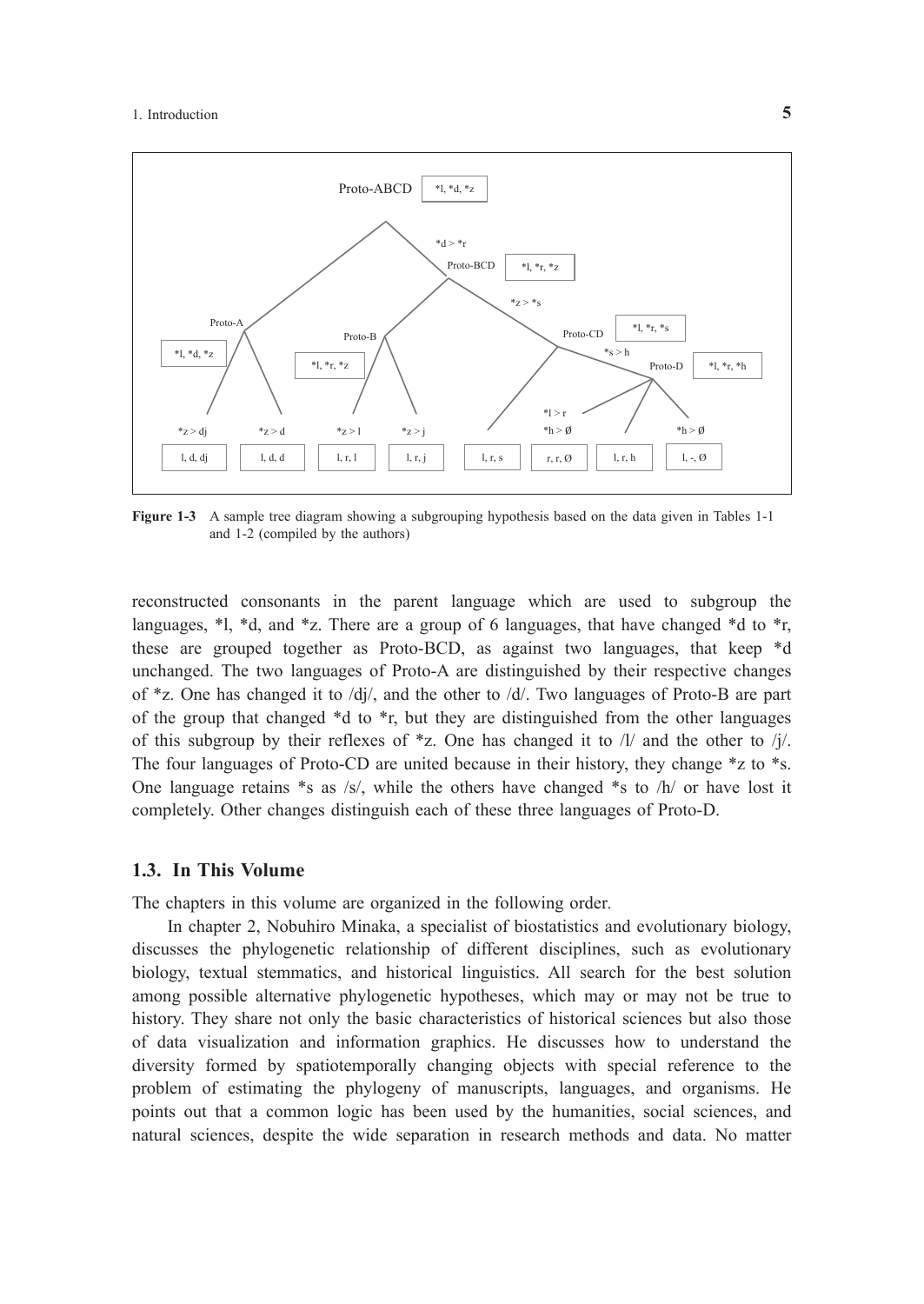

**Figure 1-3** A sample tree diagram showing a subgrouping hypothesis based on the data given in Tables 1-1 and 1-2 (compiled by the authors)

reconstructed consonants in the parent language which are used to subgroup the languages,  $*$ l,  $*$ d, and  $*$ z. There are a group of 6 languages, that have changed  $*$ d to  $*$ r, these are grouped together as Proto-BCD, as against two languages, that keep \*d unchanged. The two languages of Proto-A are distinguished by their respective changes of \*z. One has changed it to /dj/, and the other to /d/. Two languages of Proto-B are part of the group that changed \*d to \*r, but they are distinguished from the other languages of this subgroup by their reflexes of  $*z$ . One has changed it to  $\Lambda/2$  and the other to  $\Lambda/2$ . The four languages of Proto-CD are united because in their history, they change \*z to \*s. One language retains  $*$ s as /s/, while the others have changed  $*$ s to /h/ or have lost it completely. Other changes distinguish each of these three languages of Proto-D.

#### **1.3. In This Volume**

The chapters in this volume are organized in the following order.

In chapter 2, Nobuhiro Minaka, a specialist of biostatistics and evolutionary biology, discusses the phylogenetic relationship of different disciplines, such as evolutionary biology, textual stemmatics, and historical linguistics. All search for the best solution among possible alternative phylogenetic hypotheses, which may or may not be true to history. They share not only the basic characteristics of historical sciences but also those of data visualization and information graphics. He discusses how to understand the diversity formed by spatiotemporally changing objects with special reference to the problem of estimating the phylogeny of manuscripts, languages, and organisms. He points out that a common logic has been used by the humanities, social sciences, and natural sciences, despite the wide separation in research methods and data. No matter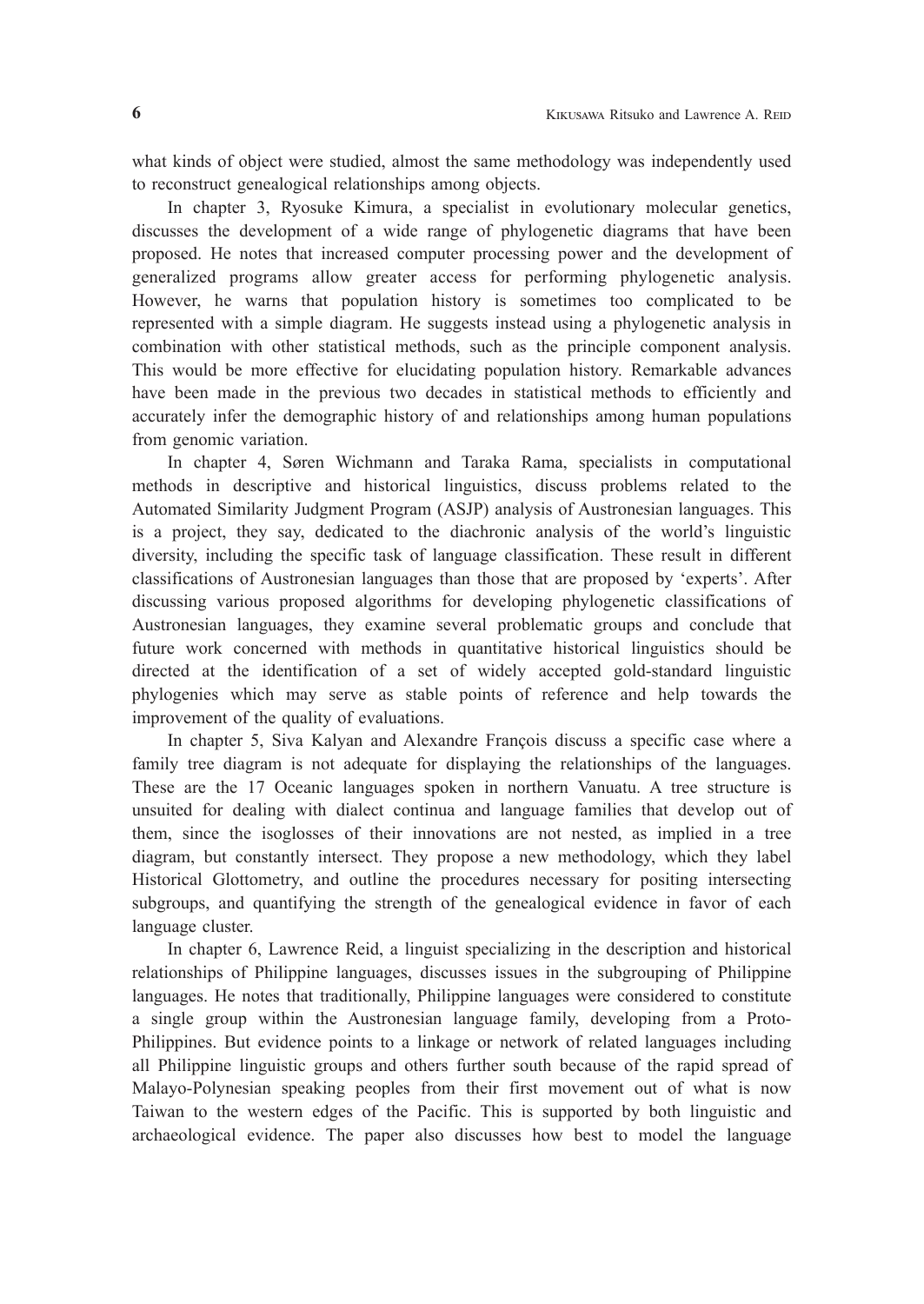what kinds of object were studied, almost the same methodology was independently used to reconstruct genealogical relationships among objects.

In chapter 3, Ryosuke Kimura, a specialist in evolutionary molecular genetics, discusses the development of a wide range of phylogenetic diagrams that have been proposed. He notes that increased computer processing power and the development of generalized programs allow greater access for performing phylogenetic analysis. However, he warns that population history is sometimes too complicated to be represented with a simple diagram. He suggests instead using a phylogenetic analysis in combination with other statistical methods, such as the principle component analysis. This would be more effective for elucidating population history. Remarkable advances have been made in the previous two decades in statistical methods to efficiently and accurately infer the demographic history of and relationships among human populations from genomic variation.

In chapter 4, Søren Wichmann and Taraka Rama, specialists in computational methods in descriptive and historical linguistics, discuss problems related to the Automated Similarity Judgment Program (ASJP) analysis of Austronesian languages. This is a project, they say, dedicated to the diachronic analysis of the world's linguistic diversity, including the specific task of language classification. These result in different classifications of Austronesian languages than those that are proposed by 'experts'. After discussing various proposed algorithms for developing phylogenetic classifications of Austronesian languages, they examine several problematic groups and conclude that future work concerned with methods in quantitative historical linguistics should be directed at the identification of a set of widely accepted gold-standard linguistic phylogenies which may serve as stable points of reference and help towards the improvement of the quality of evaluations.

In chapter 5, Siva Kalyan and Alexandre François discuss a specific case where a family tree diagram is not adequate for displaying the relationships of the languages. These are the 17 Oceanic languages spoken in northern Vanuatu. A tree structure is unsuited for dealing with dialect continua and language families that develop out of them, since the isoglosses of their innovations are not nested, as implied in a tree diagram, but constantly intersect. They propose a new methodology, which they label Historical Glottometry, and outline the procedures necessary for positing intersecting subgroups, and quantifying the strength of the genealogical evidence in favor of each language cluster.

In chapter 6, Lawrence Reid, a linguist specializing in the description and historical relationships of Philippine languages, discusses issues in the subgrouping of Philippine languages. He notes that traditionally, Philippine languages were considered to constitute a single group within the Austronesian language family, developing from a Proto-Philippines. But evidence points to a linkage or network of related languages including all Philippine linguistic groups and others further south because of the rapid spread of Malayo-Polynesian speaking peoples from their first movement out of what is now Taiwan to the western edges of the Pacific. This is supported by both linguistic and archaeological evidence. The paper also discusses how best to model the language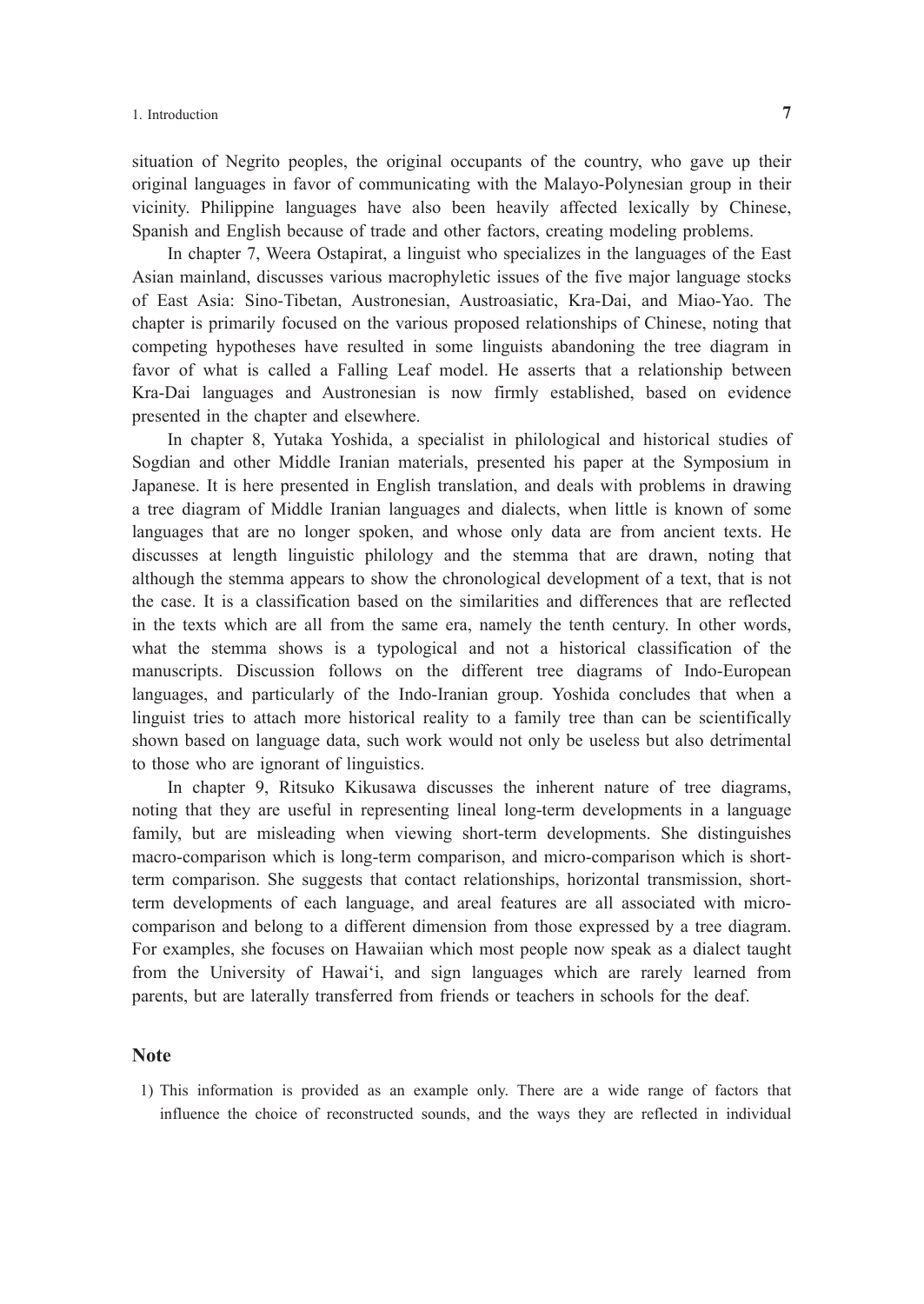situation of Negrito peoples, the original occupants of the country, who gave up their original languages in favor of communicating with the Malayo-Polynesian group in their vicinity. Philippine languages have also been heavily affected lexically by Chinese, Spanish and English because of trade and other factors, creating modeling problems.

In chapter 7, Weera Ostapirat, a linguist who specializes in the languages of the East Asian mainland, discusses various macrophyletic issues of the five major language stocks of East Asia: Sino-Tibetan, Austronesian, Austroasiatic, Kra-Dai, and Miao-Yao. The chapter is primarily focused on the various proposed relationships of Chinese, noting that competing hypotheses have resulted in some linguists abandoning the tree diagram in favor of what is called a Falling Leaf model. He asserts that a relationship between Kra-Dai languages and Austronesian is now firmly established, based on evidence presented in the chapter and elsewhere.

In chapter 8, Yutaka Yoshida, a specialist in philological and historical studies of Sogdian and other Middle Iranian materials, presented his paper at the Symposium in Japanese. It is here presented in English translation, and deals with problems in drawing a tree diagram of Middle Iranian languages and dialects, when little is known of some languages that are no longer spoken, and whose only data are from ancient texts. He discusses at length linguistic philology and the stemma that are drawn, noting that although the stemma appears to show the chronological development of a text, that is not the case. It is a classification based on the similarities and differences that are reflected in the texts which are all from the same era, namely the tenth century. In other words, what the stemma shows is a typological and not a historical classification of the manuscripts. Discussion follows on the different tree diagrams of Indo-European languages, and particularly of the Indo-Iranian group. Yoshida concludes that when a linguist tries to attach more historical reality to a family tree than can be scientifically shown based on language data, such work would not only be useless but also detrimental to those who are ignorant of linguistics.

In chapter 9, Ritsuko Kikusawa discusses the inherent nature of tree diagrams, noting that they are useful in representing lineal long-term developments in a language family, but are misleading when viewing short-term developments. She distinguishes macro-comparison which is long-term comparison, and micro-comparison which is shortterm comparison. She suggests that contact relationships, horizontal transmission, shortterm developments of each language, and areal features are all associated with microcomparison and belong to a different dimension from those expressed by a tree diagram. For examples, she focuses on Hawaiian which most people now speak as a dialect taught from the University of Hawai'i, and sign languages which are rarely learned from parents, but are laterally transferred from friends or teachers in schools for the deaf.

#### **Note**

1) This information is provided as an example only. There are a wide range of factors that influence the choice of reconstructed sounds, and the ways they are reflected in individual